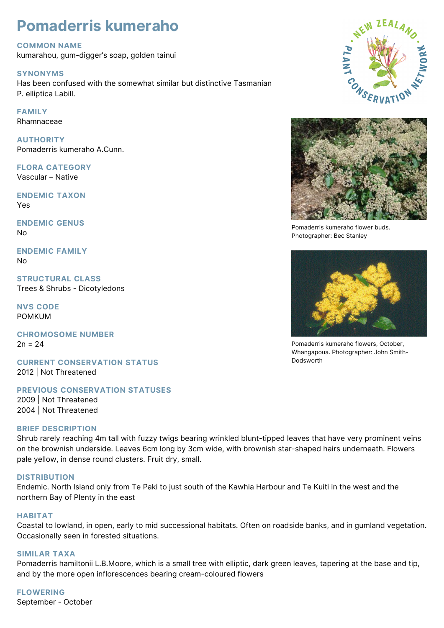# **Pomaderris kumeraho**

# **COMMON NAME**

kumarahou, gum-digger's soap, golden tainui

### **SYNONYMS**

Has been confused with the somewhat similar but distinctive Tasmanian P. elliptica Labill.

# **FAMILY**

Rhamnaceae

**AUTHORITY** Pomaderris kumeraho A.Cunn.

#### **FLORA CATEGORY** Vascular – Native

**ENDEMIC TAXON** Yes

**ENDEMIC GENUS** No

**ENDEMIC FAMILY** No

**STRUCTURAL CLASS** Trees & Shrubs - Dicotyledons

**NVS CODE** POMKUM

**CHROMOSOME NUMBER**  $2n = 24$ 

**CURRENT CONSERVATION STATUS** 2012 | Not Threatened

**PREVIOUS CONSERVATION STATUSES** 2009 | Not Threatened 2004 | Not Threatened

#### **BRIEF DESCRIPTION**

Shrub rarely reaching 4m tall with fuzzy twigs bearing wrinkled blunt-tipped leaves that have very prominent veins on the brownish underside. Leaves 6cm long by 3cm wide, with brownish star-shaped hairs underneath. Flowers pale yellow, in dense round clusters. Fruit dry, small.

# **DISTRIBUTION**

Endemic. North Island only from Te Paki to just south of the Kawhia Harbour and Te Kuiti in the west and the northern Bay of Plenty in the east

#### **HABITAT**

Coastal to lowland, in open, early to mid successional habitats. Often on roadside banks, and in gumland vegetation. Occasionally seen in forested situations.

#### **SIMILAR TAXA**

Pomaderris hamiltonii L.B.Moore, which is a small tree with elliptic, dark green leaves, tapering at the base and tip, and by the more open inflorescences bearing cream-coloured flowers

**FLOWERING** September - October





Pomaderris kumeraho flower buds. Photographer: Bec Stanley



Pomaderris kumeraho flowers, October, Whangapoua. Photographer: John Smith-Dodsworth